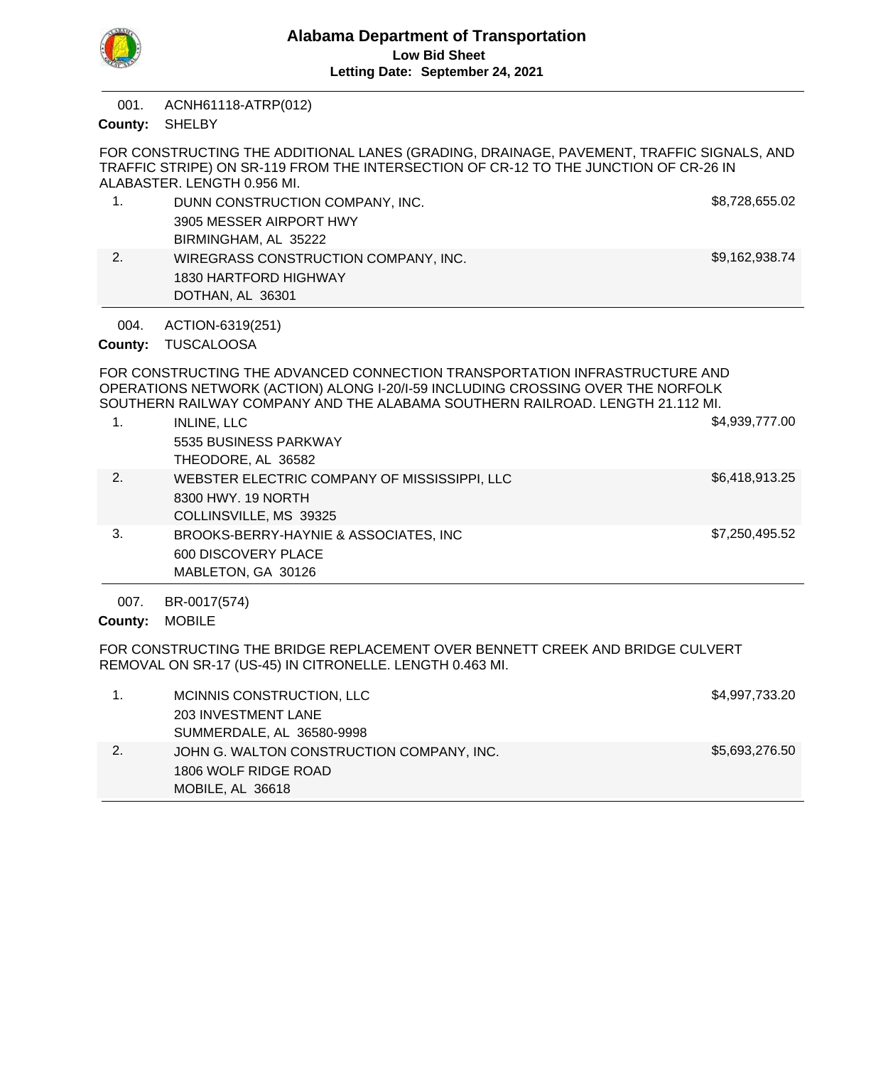

ACNH61118-ATRP(012) 001.

County: SHELBY

FOR CONSTRUCTING THE ADDITIONAL LANES (GRADING, DRAINAGE, PAVEMENT, TRAFFIC SIGNALS, AND TRAFFIC STRIPE) ON SR-119 FROM THE INTERSECTION OF CR-12 TO THE JUNCTION OF CR-26 IN ALABASTER. LENGTH 0.956 MI.

|    | DUNN CONSTRUCTION COMPANY, INC.      | \$8,728,655.02 |
|----|--------------------------------------|----------------|
|    | 3905 MESSER AIRPORT HWY              |                |
|    | BIRMINGHAM, AL 35222                 |                |
| 2. | WIREGRASS CONSTRUCTION COMPANY, INC. | \$9,162,938.74 |
|    | 1830 HARTFORD HIGHWAY                |                |
|    | DOTHAN, AL 36301                     |                |

ACTION-6319(251) 004.

# County: TUSCALOOSA

FOR CONSTRUCTING THE ADVANCED CONNECTION TRANSPORTATION INFRASTRUCTURE AND OPERATIONS NETWORK (ACTION) ALONG I-20/I-59 INCLUDING CROSSING OVER THE NORFOLK SOUTHERN RAILWAY COMPANY AND THE ALABAMA SOUTHERN RAILROAD. LENGTH 21.112 MI.

|    | <b>INLINE, LLC</b><br>5535 BUSINESS PARKWAY<br>THEODORE, AL 36582                            | \$4,939,777.00 |
|----|----------------------------------------------------------------------------------------------|----------------|
| 2. | WEBSTER ELECTRIC COMPANY OF MISSISSIPPI, LLC<br>8300 HWY, 19 NORTH<br>COLLINSVILLE, MS 39325 | \$6,418,913.25 |
| 3. | BROOKS-BERRY-HAYNIE & ASSOCIATES, INC<br>600 DISCOVERY PLACE<br>MABLETON, GA 30126           | \$7,250,495.52 |

BR-0017(574) 007.

County: MOBILE

FOR CONSTRUCTING THE BRIDGE REPLACEMENT OVER BENNETT CREEK AND BRIDGE CULVERT REMOVAL ON SR-17 (US-45) IN CITRONELLE. LENGTH 0.463 MI.

|    | 1806 WOLF RIDGE ROAD<br>MOBILE, AL 36618  |                |
|----|-------------------------------------------|----------------|
| 2. | JOHN G. WALTON CONSTRUCTION COMPANY, INC. | \$5,693,276.50 |
|    | SUMMERDALE, AL 36580-9998                 |                |
|    | 203 INVESTMENT LANE                       |                |
|    | MCINNIS CONSTRUCTION, LLC                 | \$4,997,733.20 |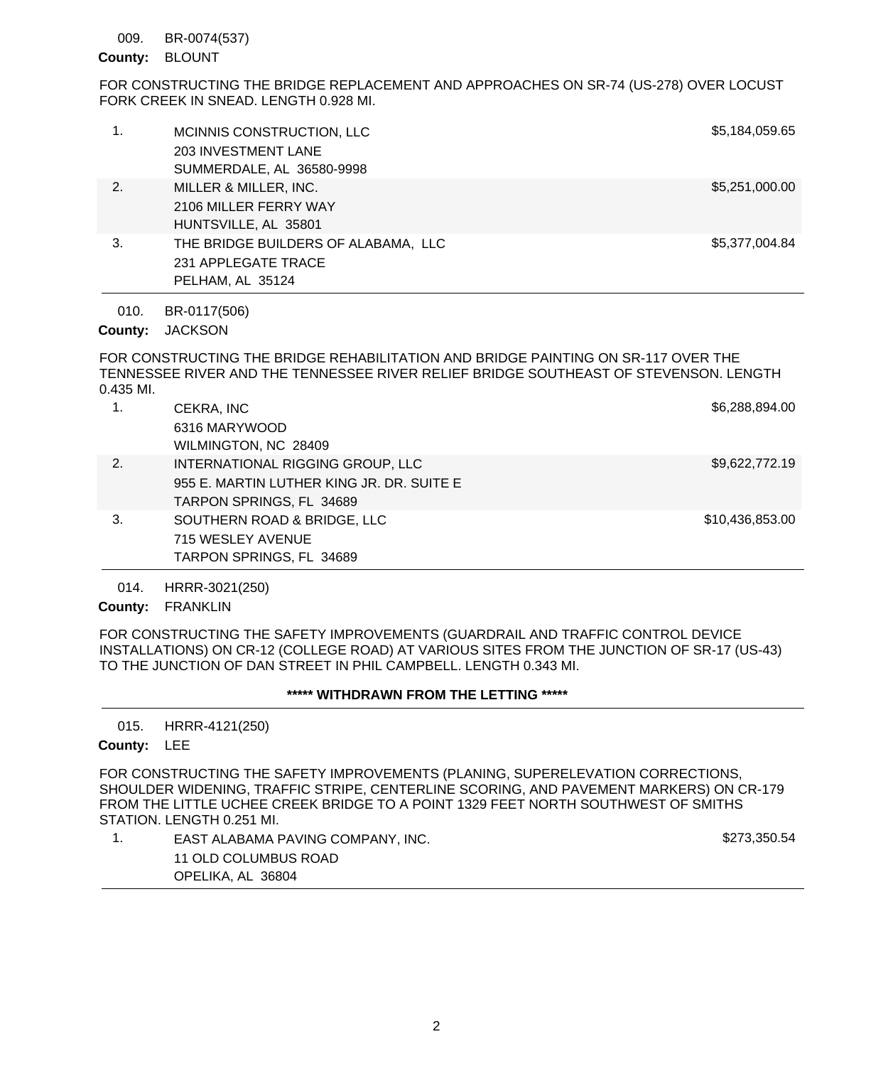### BR-0074(537) 009.

# County: BLOUNT

FOR CONSTRUCTING THE BRIDGE REPLACEMENT AND APPROACHES ON SR-74 (US-278) OVER LOCUST FORK CREEK IN SNEAD. LENGTH 0.928 MI.

| 1. | MCINNIS CONSTRUCTION, LLC<br>203 INVESTMENT LANE<br>SUMMERDALE, AL 36580-9998  | \$5,184,059.65 |
|----|--------------------------------------------------------------------------------|----------------|
| 2. | MILLER & MILLER, INC.<br>2106 MILLER FERRY WAY<br>HUNTSVILLE, AL 35801         | \$5,251,000.00 |
| 3. | THE BRIDGE BUILDERS OF ALABAMA, LLC<br>231 APPLEGATE TRACE<br>PELHAM, AL 35124 | \$5,377,004.84 |
|    |                                                                                |                |

BR-0117(506) 010.

County: JACKSON

FOR CONSTRUCTING THE BRIDGE REHABILITATION AND BRIDGE PAINTING ON SR-117 OVER THE TENNESSEE RIVER AND THE TENNESSEE RIVER RELIEF BRIDGE SOUTHEAST OF STEVENSON. LENGTH 0.435 MI.

| 1. | CEKRA, INC<br>6316 MARYWOOD               | \$6,288,894.00  |
|----|-------------------------------------------|-----------------|
|    | WILMINGTON, NC 28409                      |                 |
| 2. | INTERNATIONAL RIGGING GROUP, LLC          | \$9,622,772.19  |
|    | 955 E. MARTIN LUTHER KING JR. DR. SUITE E |                 |
|    | TARPON SPRINGS, FL 34689                  |                 |
| 3. | SOUTHERN ROAD & BRIDGE, LLC               | \$10,436,853.00 |
|    | 715 WESLEY AVENUE                         |                 |
|    | TARPON SPRINGS, FL 34689                  |                 |
|    |                                           |                 |

HRRR-3021(250) 014.

County: FRANKLIN

FOR CONSTRUCTING THE SAFETY IMPROVEMENTS (GUARDRAIL AND TRAFFIC CONTROL DEVICE INSTALLATIONS) ON CR-12 (COLLEGE ROAD) AT VARIOUS SITES FROM THE JUNCTION OF SR-17 (US-43) TO THE JUNCTION OF DAN STREET IN PHIL CAMPBELL. LENGTH 0.343 MI.

## **\*\*\*\*\* WITHDRAWN FROM THE LETTING \*\*\*\*\***

HRRR-4121(250) 015.

# County: LEE

FOR CONSTRUCTING THE SAFETY IMPROVEMENTS (PLANING, SUPERELEVATION CORRECTIONS, SHOULDER WIDENING, TRAFFIC STRIPE, CENTERLINE SCORING, AND PAVEMENT MARKERS) ON CR-179 FROM THE LITTLE UCHEE CREEK BRIDGE TO A POINT 1329 FEET NORTH SOUTHWEST OF SMITHS STATION. LENGTH 0.251 MI.

1. EAST ALABAMA PAVING COMPANY, INC. \$273,350.54 11 OLD COLUMBUS ROAD OPELIKA, AL 36804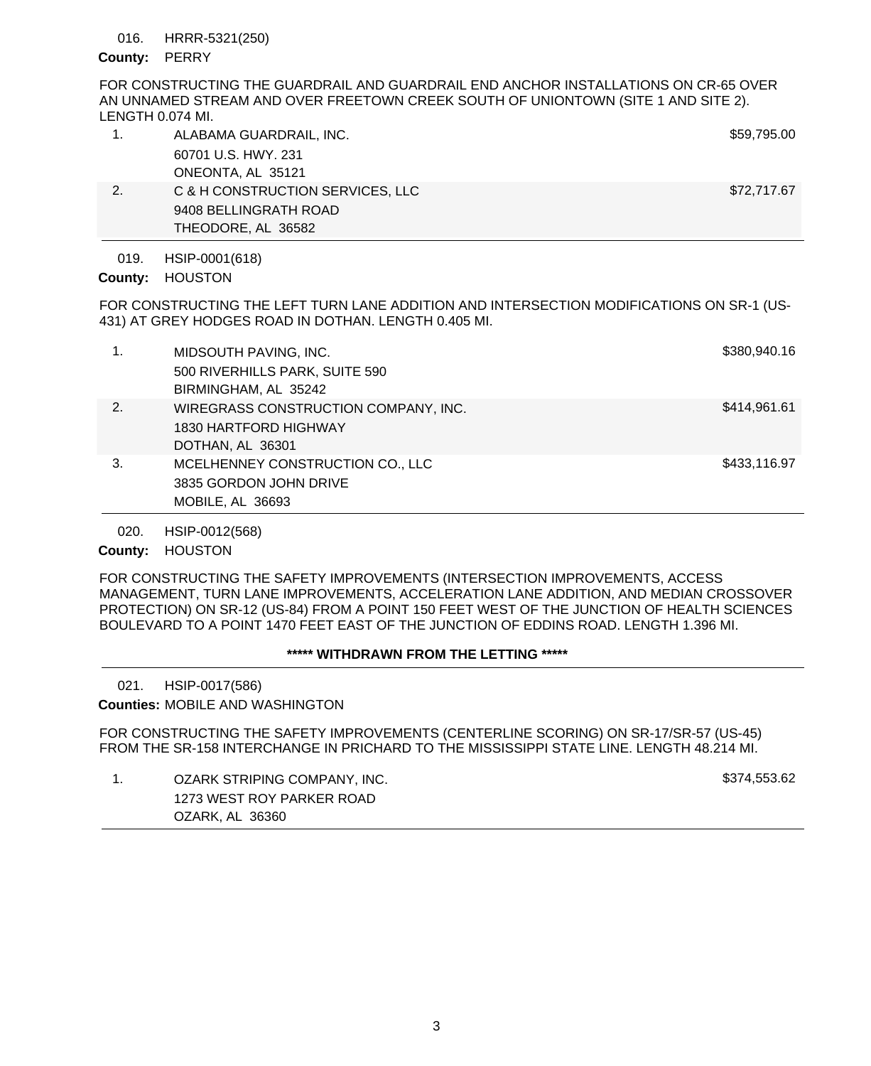### HRRR-5321(250) 016.

## County: PERRY

FOR CONSTRUCTING THE GUARDRAIL AND GUARDRAIL END ANCHOR INSTALLATIONS ON CR-65 OVER AN UNNAMED STREAM AND OVER FREETOWN CREEK SOUTH OF UNIONTOWN (SITE 1 AND SITE 2). LENGTH 0.074 MI.

|    | ALABAMA GUARDRAIL, INC.          | \$59,795.00 |
|----|----------------------------------|-------------|
|    | 60701 U.S. HWY, 231              |             |
|    | ONEONTA, AL 35121                |             |
| 2. | C & H CONSTRUCTION SERVICES, LLC | \$72,717.67 |
|    | 9408 BELLINGRATH ROAD            |             |
|    | THEODORE, AL 36582               |             |

HSIP-0001(618) 019.

County: HOUSTON

FOR CONSTRUCTING THE LEFT TURN LANE ADDITION AND INTERSECTION MODIFICATIONS ON SR-1 (US-431) AT GREY HODGES ROAD IN DOTHAN. LENGTH 0.405 MI.

|    | MIDSOUTH PAVING, INC.<br>500 RIVERHILLS PARK, SUITE 590<br>BIRMINGHAM, AL 35242   | \$380,940.16 |
|----|-----------------------------------------------------------------------------------|--------------|
| 2. | WIREGRASS CONSTRUCTION COMPANY, INC.<br>1830 HARTFORD HIGHWAY<br>DOTHAN, AL 36301 | \$414,961.61 |
| 3. | MCELHENNEY CONSTRUCTION CO., LLC<br>3835 GORDON JOHN DRIVE<br>MOBILE, AL 36693    | \$433,116.97 |

HSIP-0012(568) 020.

County: HOUSTON

FOR CONSTRUCTING THE SAFETY IMPROVEMENTS (INTERSECTION IMPROVEMENTS, ACCESS MANAGEMENT, TURN LANE IMPROVEMENTS, ACCELERATION LANE ADDITION, AND MEDIAN CROSSOVER PROTECTION) ON SR-12 (US-84) FROM A POINT 150 FEET WEST OF THE JUNCTION OF HEALTH SCIENCES BOULEVARD TO A POINT 1470 FEET EAST OF THE JUNCTION OF EDDINS ROAD. LENGTH 1.396 MI.

## **\*\*\*\*\* WITHDRAWN FROM THE LETTING \*\*\*\*\***

HSIP-0017(586) 021.

**Counties: MOBILE AND WASHINGTON** 

FOR CONSTRUCTING THE SAFETY IMPROVEMENTS (CENTERLINE SCORING) ON SR-17/SR-57 (US-45) FROM THE SR-158 INTERCHANGE IN PRICHARD TO THE MISSISSIPPI STATE LINE. LENGTH 48.214 MI.

1. OZARK STRIPING COMPANY, INC. **Example 20 and Strip 20 and Strip 3374,553.62** 1273 WEST ROY PARKER ROAD OZARK, AL 36360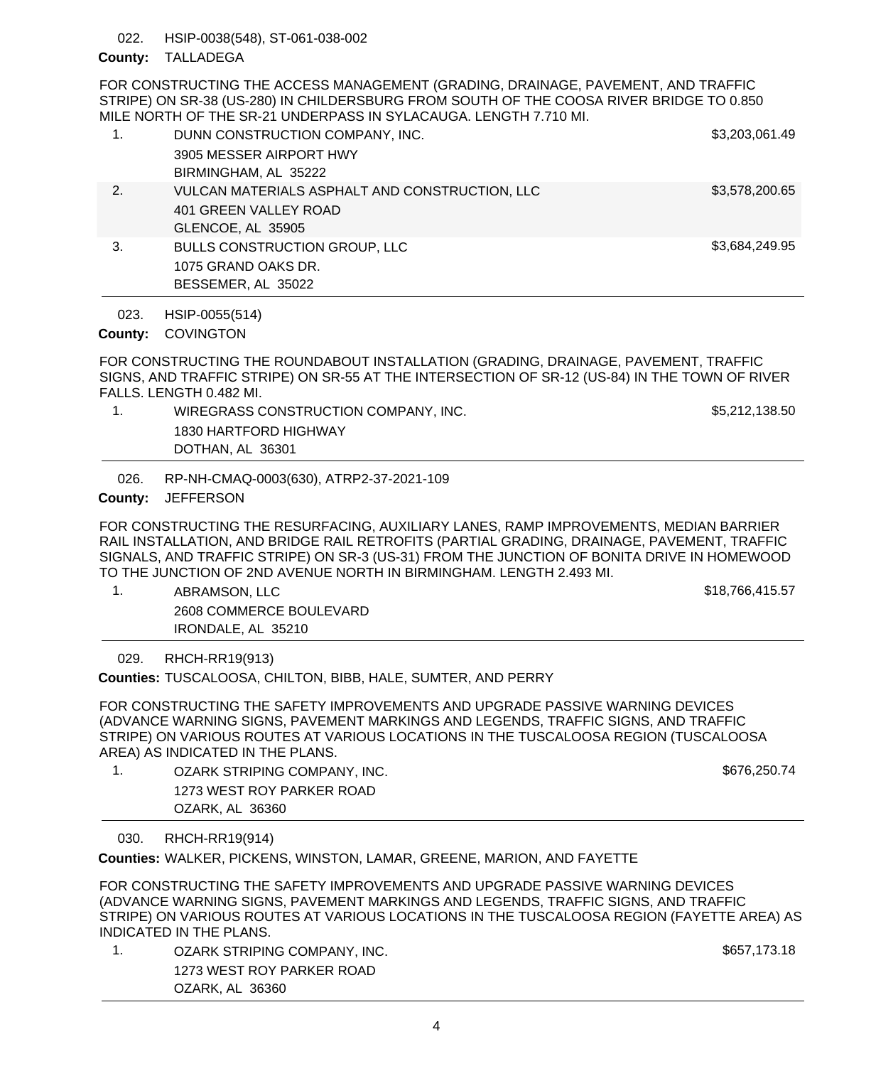HSIP-0038(548), ST-061-038-002 022.

# County: TALLADEGA

FOR CONSTRUCTING THE ACCESS MANAGEMENT (GRADING, DRAINAGE, PAVEMENT, AND TRAFFIC STRIPE) ON SR-38 (US-280) IN CHILDERSBURG FROM SOUTH OF THE COOSA RIVER BRIDGE TO 0.850 MILE NORTH OF THE SR-21 UNDERPASS IN SYLACAUGA. LENGTH 7.710 MI.

| 1. | DUNN CONSTRUCTION COMPANY, INC.<br>3905 MESSER AIRPORT HWY<br>BIRMINGHAM, AL 35222           | \$3,203,061.49 |
|----|----------------------------------------------------------------------------------------------|----------------|
| 2. | VULCAN MATERIALS ASPHALT AND CONSTRUCTION, LLC<br>401 GREEN VALLEY ROAD<br>GLENCOE, AL 35905 | \$3,578,200.65 |
| 3. | <b>BULLS CONSTRUCTION GROUP, LLC</b><br>1075 GRAND OAKS DR.<br>BESSEMER, AL 35022            | \$3,684,249.95 |

HSIP-0055(514) 023.

# County: COVINGTON

FOR CONSTRUCTING THE ROUNDABOUT INSTALLATION (GRADING, DRAINAGE, PAVEMENT, TRAFFIC SIGNS, AND TRAFFIC STRIPE) ON SR-55 AT THE INTERSECTION OF SR-12 (US-84) IN THE TOWN OF RIVER FALLS. LENGTH 0.482 MI.

1. WIREGRASS CONSTRUCTION COMPANY, INC. \$5,212,138.50 1830 HARTFORD HIGHWAY DOTHAN, AL 36301

RP-NH-CMAQ-0003(630), ATRP2-37-2021-109 026.

# County: JEFFERSON

FOR CONSTRUCTING THE RESURFACING, AUXILIARY LANES, RAMP IMPROVEMENTS, MEDIAN BARRIER RAIL INSTALLATION, AND BRIDGE RAIL RETROFITS (PARTIAL GRADING, DRAINAGE, PAVEMENT, TRAFFIC SIGNALS, AND TRAFFIC STRIPE) ON SR-3 (US-31) FROM THE JUNCTION OF BONITA DRIVE IN HOMEWOOD TO THE JUNCTION OF 2ND AVENUE NORTH IN BIRMINGHAM. LENGTH 2.493 MI.

1. ABRAMSON, LLC 6. A CHANGE 1. A CHANGE 1. A CHANGE 1. A CHANGE 1. A CHANGE 1. A CHANGE 1. A CHANGE 1. A CHANGE 2608 COMMERCE BOULEVARD IRONDALE, AL 35210

RHCH-RR19(913) 029.

Counties: TUSCALOOSA, CHILTON, BIBB, HALE, SUMTER, AND PERRY

FOR CONSTRUCTING THE SAFETY IMPROVEMENTS AND UPGRADE PASSIVE WARNING DEVICES (ADVANCE WARNING SIGNS, PAVEMENT MARKINGS AND LEGENDS, TRAFFIC SIGNS, AND TRAFFIC STRIPE) ON VARIOUS ROUTES AT VARIOUS LOCATIONS IN THE TUSCALOOSA REGION (TUSCALOOSA AREA) AS INDICATED IN THE PLANS.

1. OZARK STRIPING COMPANY, INC. **Example 20 and Strip 20 and Strip 3676,250.74** 1273 WEST ROY PARKER ROAD OZARK, AL 36360

RHCH-RR19(914) 030.

WALKER, PICKENS, WINSTON, LAMAR, GREENE, MARION, AND FAYETTE **Counties:**

FOR CONSTRUCTING THE SAFETY IMPROVEMENTS AND UPGRADE PASSIVE WARNING DEVICES (ADVANCE WARNING SIGNS, PAVEMENT MARKINGS AND LEGENDS, TRAFFIC SIGNS, AND TRAFFIC STRIPE) ON VARIOUS ROUTES AT VARIOUS LOCATIONS IN THE TUSCALOOSA REGION (FAYETTE AREA) AS INDICATED IN THE PLANS.

1. OZARK STRIPING COMPANY, INC. \$657,173.18 1273 WEST ROY PARKER ROAD OZARK, AL 36360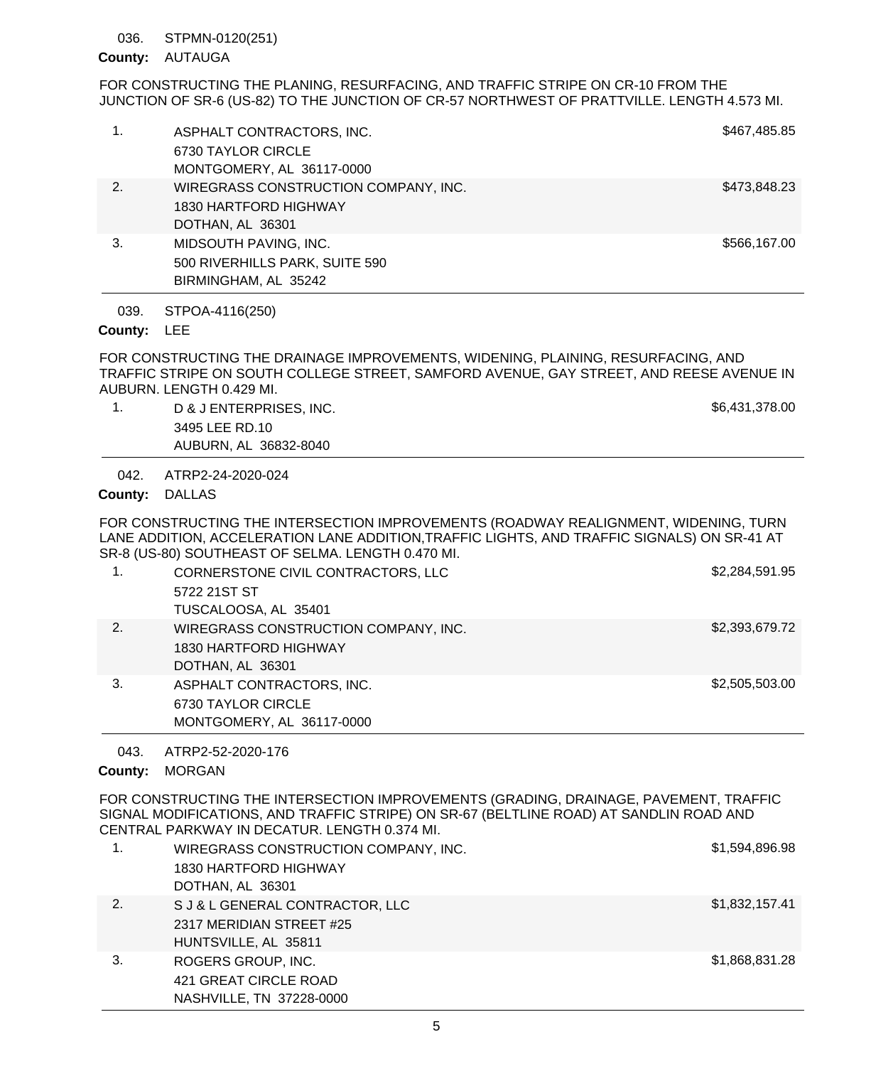### STPMN-0120(251) 036.

## County: AUTAUGA

FOR CONSTRUCTING THE PLANING, RESURFACING, AND TRAFFIC STRIPE ON CR-10 FROM THE JUNCTION OF SR-6 (US-82) TO THE JUNCTION OF CR-57 NORTHWEST OF PRATTVILLE. LENGTH 4.573 MI.

| 1. | ASPHALT CONTRACTORS, INC.<br>6730 TAYLOR CIRCLE<br>MONTGOMERY, AL 36117-0000      | \$467,485.85 |
|----|-----------------------------------------------------------------------------------|--------------|
| 2. | WIREGRASS CONSTRUCTION COMPANY, INC.<br>1830 HARTFORD HIGHWAY<br>DOTHAN, AL 36301 | \$473,848.23 |
| 3. | MIDSOUTH PAVING, INC.<br>500 RIVERHILLS PARK, SUITE 590<br>BIRMINGHAM, AL 35242   | \$566,167.00 |

STPOA-4116(250) 039.

### County: LEE

FOR CONSTRUCTING THE DRAINAGE IMPROVEMENTS, WIDENING, PLAINING, RESURFACING, AND TRAFFIC STRIPE ON SOUTH COLLEGE STREET, SAMFORD AVENUE, GAY STREET, AND REESE AVENUE IN AUBURN. LENGTH 0.429 MI.

1. D & J ENTERPRISES, INC. The set of the set of the set of the set of the set of the set of the set of the set of the set of the set of the set of the set of the set of the set of the set of the set of the set of the set 3495 LEE RD.10 AUBURN, AL 36832-8040

ATRP2-24-2020-024 042.

## County: DALLAS

FOR CONSTRUCTING THE INTERSECTION IMPROVEMENTS (ROADWAY REALIGNMENT, WIDENING, TURN LANE ADDITION, ACCELERATION LANE ADDITION,TRAFFIC LIGHTS, AND TRAFFIC SIGNALS) ON SR-41 AT SR-8 (US-80) SOUTHEAST OF SELMA. LENGTH 0.470 MI.

| 1. | CORNERSTONE CIVIL CONTRACTORS, LLC<br>5722 21ST ST<br>TUSCALOOSA, AL 35401        | \$2,284,591.95 |
|----|-----------------------------------------------------------------------------------|----------------|
| 2. | WIREGRASS CONSTRUCTION COMPANY, INC.<br>1830 HARTFORD HIGHWAY<br>DOTHAN, AL 36301 | \$2,393,679.72 |
| 3. | ASPHALT CONTRACTORS, INC.<br>6730 TAYLOR CIRCLE<br>MONTGOMERY, AL 36117-0000      | \$2,505,503.00 |

ATRP2-52-2020-176 043.

# County: MORGAN

FOR CONSTRUCTING THE INTERSECTION IMPROVEMENTS (GRADING, DRAINAGE, PAVEMENT, TRAFFIC SIGNAL MODIFICATIONS, AND TRAFFIC STRIPE) ON SR-67 (BELTLINE ROAD) AT SANDLIN ROAD AND CENTRAL PARKWAY IN DECATUR. LENGTH 0.374 MI.

| 1. | WIREGRASS CONSTRUCTION COMPANY, INC.<br>1830 HARTFORD HIGHWAY<br>DOTHAN, AL 36301   | \$1,594,896.98 |
|----|-------------------------------------------------------------------------------------|----------------|
| 2. | S J & L GENERAL CONTRACTOR, LLC<br>2317 MERIDIAN STREET #25<br>HUNTSVILLE, AL 35811 | \$1,832,157.41 |
| 3. | ROGERS GROUP, INC.<br>421 GREAT CIRCLE ROAD<br>NASHVILLE, TN 37228-0000             | \$1,868,831.28 |